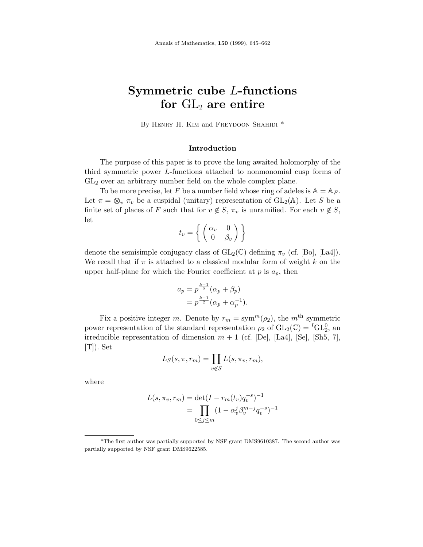# **Symmetric cube** *L***-functions** for  $GL_2$  are entire

By HENRY H. KIM and FREYDOON SHAHIDI \*

## **Introduction**

The purpose of this paper is to prove the long awaited holomorphy of the third symmetric power *L*-functions attached to nonmonomial cusp forms of  $GL<sub>2</sub>$  over an arbitrary number field on the whole complex plane.

To be more precise, let F be a number field whose ring of adeles is  $A = A_F$ . Let  $\pi = \otimes_v \pi_v$  be a cuspidal (unitary) representation of  $GL_2(\mathbb{A})$ . Let *S* be a finite set of places of *F* such that for  $v \notin S$ ,  $\pi_v$  is unramified. For each  $v \notin S$ , let

$$
t_v = \left\{ \left. \begin{pmatrix} \alpha_v & 0 \\ 0 & \beta_v \end{pmatrix} \right. \right\}
$$

denote the semisimple conjugacy class of  $GL_2(\mathbb{C})$  defining  $\pi_v$  (cf. [Bo], [La4]). We recall that if  $\pi$  is attached to a classical modular form of weight  $k$  on the upper half-plane for which the Fourier coefficient at  $p$  is  $a_p$ , then

$$
a_p = p^{\frac{k-1}{2}} (\alpha_p + \beta_p)
$$
  
=  $p^{\frac{k-1}{2}} (\alpha_p + \alpha_p^{-1}).$ 

Fix a positive integer *m*. Denote by  $r_m = \text{sym}^m(\rho_2)$ , the *m*<sup>th</sup> symmetric power representation of the standard representation  $\rho_2$  of  $GL_2(\mathbb{C}) = {}^L GL_2^0$ , an irreducible representation of dimension  $m + 1$  (cf. [De], [La4], [Se], [Sh5, 7],  $[T]$ ). Set

$$
L_S(s, \pi, r_m) = \prod_{v \notin S} L(s, \pi_v, r_m),
$$

where

$$
L(s, \pi_v, r_m) = \det(I - r_m(t_v)q_v^{-s})^{-1}
$$
  
= 
$$
\prod_{0 \le j \le m} (1 - \alpha_v^j \beta_v^{m-j} q_v^{-s})^{-1}
$$

<sup>\*</sup>The first author was partially supported by NSF grant DMS9610387. The second author was partially supported by NSF grant DMS9622585.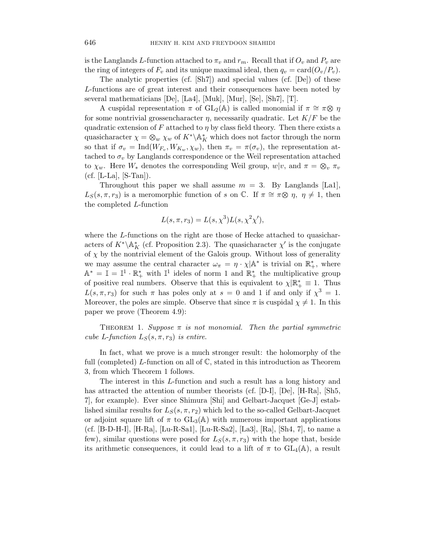is the Langlands *L*-function attached to  $\pi_v$  and  $r_m$ . Recall that if  $O_v$  and  $P_v$  are the ring of integers of  $F_v$  and its unique maximal ideal, then  $q_v = \text{card}(O_v/P_v)$ .

The analytic properties (cf. [Sh7]) and special values (cf. [De]) of these *L*-functions are of great interest and their consequences have been noted by several mathematicians [De], [La4], [Muk], [Mur], [Se], [Sh7], [T].

A cuspidal representation  $\pi$  of  $GL_2(\mathbb{A})$  is called monomial if  $\pi \cong \pi \otimes \eta$ for some nontrivial grossencharacter  $\eta$ , necessarily quadratic. Let  $K/F$  be the quadratic extension of  $F$  attached to  $\eta$  by class field theory. Then there exists a quasicharacter  $\chi = \otimes_w \chi_w$  of  $K^* \backslash \mathbb{A}_K^*$  which does not factor through the norm so that if  $\sigma_v = \text{Ind}(W_{F_v}, W_{K_w}, \chi_w)$ , then  $\pi_v = \pi(\sigma_v)$ , the representation attached to  $\sigma_v$  by Langlands correspondence or the Weil representation attached to  $\chi_w$ . Here  $W_*$  denotes the corresponding Weil group,  $w|v$ , and  $\pi = \otimes_v \pi_v$  $(cf. [L-La], [S-Tan]).$ 

Throughout this paper we shall assume  $m = 3$ . By Langlands [La1],  $L_S(s, \pi, r_3)$  is a meromorphic function of *s* on  $\mathbb{C}$ . If  $\pi \cong \pi \otimes \eta$ ,  $\eta \neq 1$ , then the completed *L*-function

$$
L(s, \pi, r_3) = L(s, \chi^3) L(s, \chi^2 \chi'),
$$

where the *L*-functions on the right are those of Hecke attached to quasicharacters of  $K^*\backslash \mathbb{A}_K^*$  (cf. Proposition 2.3). The quasicharacter  $\chi'$  is the conjugate of  $\chi$  by the nontrivial element of the Galois group. Without loss of generality we may assume the central character  $\omega_{\pi} = \eta \cdot \chi | A^*$  is trivial on  $\mathbb{R}^*_+$ , where  $\mathbb{A}^* = \mathbb{I} = \mathbb{I}^1 \cdot \mathbb{R}_+^*$  with  $\mathbb{I}^1$  ideles of norm 1 and  $\mathbb{R}_+^*$  the multiplicative group of positive real numbers. Observe that this is equivalent to  $\chi | \mathbb{R}^*_+ \equiv 1$ . Thus  $L(s, \pi, r_3)$  for such  $\pi$  has poles only at  $s = 0$  and 1 if and only if  $\chi^3 = 1$ . Moreover, the poles are simple. Observe that since  $\pi$  is cuspidal  $\chi \neq 1$ . In this paper we prove (Theorem 4.9):

THEOREM 1. Suppose  $\pi$  is not monomial. Then the partial symmetric cube *L*-function  $L_S(s, \pi, r_3)$  is entire.

In fact, what we prove is a much stronger result: the holomorphy of the full (completed) *L*-function on all of C, stated in this introduction as Theorem 3, from which Theorem 1 follows.

The interest in this *L*-function and such a result has a long history and has attracted the attention of number theorists (cf. [D-I], [De], [H-Ra], [Sh5, 7], for example). Ever since Shimura [Shi] and Gelbart-Jacquet [Ge-J] established similar results for  $L_S(s, \pi, r_2)$  which led to the so-called Gelbart-Jacquet or adjoint square lift of  $\pi$  to  $GL_3(\mathbb{A})$  with numerous important applications (cf. [B-D-H-I], [H-Ra], [Lu-R-Sa1], [Lu-R-Sa2], [La3], [Ra], [Sh4, 7], to name a few), similar questions were posed for  $L_S(s, \pi, r_3)$  with the hope that, beside its arithmetic consequences, it could lead to a lift of  $\pi$  to  $GL_4(\mathbb{A})$ , a result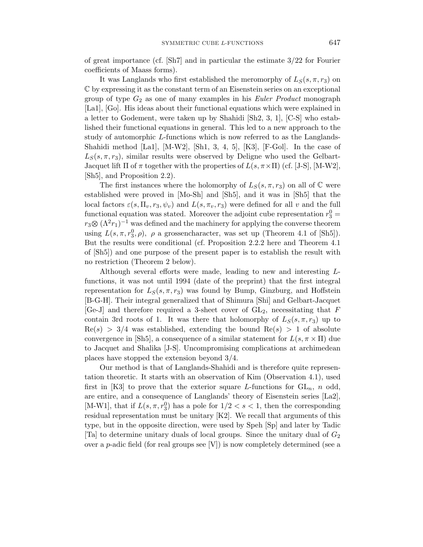of great importance (cf. [Sh7] and in particular the estimate 3*/*22 for Fourier coefficients of Maass forms).

It was Langlands who first established the meromorphy of  $L_S(s, \pi, r_3)$  on C by expressing it as the constant term of an Eisenstein series on an exceptional group of type *G*<sup>2</sup> as one of many examples in his Euler Product monograph [La1], [Go]. His ideas about their functional equations which were explained in a letter to Godement, were taken up by Shahidi [Sh2, 3, 1], [C-S] who established their functional equations in general. This led to a new approach to the study of automorphic *L*-functions which is now referred to as the Langlands-Shahidi method [La1], [M-W2], [Sh1, 3, 4, 5], [K3], [F-Gol]. In the case of  $L_S(s, \pi, r_3)$ , similar results were observed by Deligne who used the Gelbart-Jacquet lift  $\Pi$  of  $\pi$  together with the properties of  $L(s, \pi \times \Pi)$  (cf. [J-S], [M-W2], [Sh5], and Proposition 2.2).

The first instances where the holomorphy of  $L_S(s, \pi, r_3)$  on all of  $\mathbb C$  were established were proved in [Mo-Sh] and [Sh5], and it was in [Sh5] that the local factors  $\varepsilon(s, \Pi_v, r_3, \psi_v)$  and  $L(s, \pi_v, r_3)$  were defined for all v and the full functional equation was stated. Moreover the adjoint cube representation  $r_3^0$  =  $r_3 \otimes (\Lambda^2 r_1)^{-1}$  was defined and the machinery for applying the converse theorem using  $L(s, \pi, r_3^0, \rho)$ ,  $\rho$  a grossencharacter, was set up (Theorem 4.1 of [Sh5]). But the results were conditional (cf. Proposition 2.2.2 here and Theorem 4.1 of [Sh5]) and one purpose of the present paper is to establish the result with no restriction (Theorem 2 below).

Although several efforts were made, leading to new and interesting *L*functions, it was not until 1994 (date of the preprint) that the first integral representation for  $L_S(s, \pi, r_3)$  was found by Bump, Ginzburg, and Hoffstein [B-G-H]. Their integral generalized that of Shimura [Shi] and Gelbart-Jacquet [Ge-J] and therefore required a 3-sheet cover of GL2, necessitating that *F* contain 3rd roots of 1. It was there that holomorphy of  $L_S(s, \pi, r_3)$  up to  $Re(s) > 3/4$  was established, extending the bound  $Re(s) > 1$  of absolute convergence in [Sh5], a consequence of a similar statement for  $L(s, \pi \times \Pi)$  due to Jacquet and Shalika [J-S]. Uncompromising complications at archimedean places have stopped the extension beyond 3/4.

Our method is that of Langlands-Shahidi and is therefore quite representation theoretic. It starts with an observation of Kim (Observation 4.1), used first in [K3] to prove that the exterior square *L*-functions for  $GL_n$ , *n* odd, are entire, and a consequence of Langlands' theory of Eisenstein series [La2], [M-W1], that if  $L(s, \pi, r_3^0)$  has a pole for  $1/2 < s < 1$ , then the corresponding residual representation must be unitary [K2]. We recall that arguments of this type, but in the opposite direction, were used by Speh [Sp] and later by Tadic [Ta] to determine unitary duals of local groups. Since the unitary dual of *G*<sup>2</sup> over a *p*-adic field (for real groups see [V]) is now completely determined (see a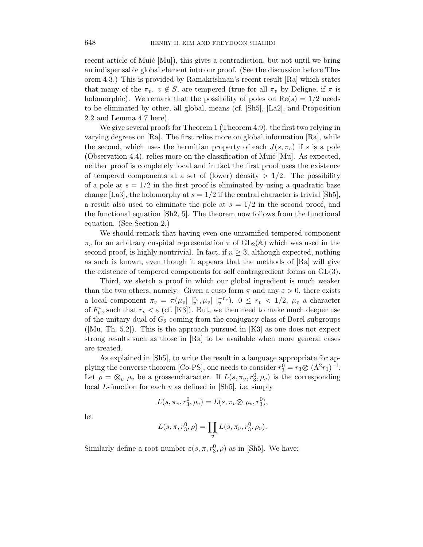recent article of Muić  $[Mu]$ , this gives a contradiction, but not until we bring an indispensable global element into our proof. (See the discussion before Theorem 4.3.) This is provided by Ramakrishnan's recent result [Ra] which states that many of the  $\pi_v$ ,  $v \notin S$ , are tempered (true for all  $\pi_v$  by Deligne, if  $\pi$  is holomorphic). We remark that the possibility of poles on  $Re(s)=1/2$  needs to be eliminated by other, all global, means (cf. [Sh5], [La2], and Proposition 2.2 and Lemma 4.7 here).

We give several proofs for Theorem 1 (Theorem 4.9), the first two relying in varying degrees on [Ra]. The first relies more on global information [Ra], while the second, which uses the hermitian property of each  $J(s, \pi_v)$  if *s* is a pole (Observation 4.4), relies more on the classification of Muić [Mu]. As expected, neither proof is completely local and in fact the first proof uses the existence of tempered components at a set of (lower) density  $> 1/2$ . The possibility of a pole at  $s = 1/2$  in the first proof is eliminated by using a quadratic base change [La3], the holomorphy at  $s = 1/2$  if the central character is trivial [Sh5], a result also used to eliminate the pole at  $s = 1/2$  in the second proof, and the functional equation [Sh2, 5]. The theorem now follows from the functional equation. (See Section 2.)

We should remark that having even one unramified tempered component  $\pi_v$  for an arbitrary cuspidal representation  $\pi$  of  $GL_2(\mathbb{A})$  which was used in the second proof, is highly nontrivial. In fact, if  $n \geq 3$ , although expected, nothing as such is known, even though it appears that the methods of [Ra] will give the existence of tempered components for self contragredient forms on GL(3).

Third, we sketch a proof in which our global ingredient is much weaker than the two others, namely: Given a cusp form  $\pi$  and any  $\varepsilon > 0$ , there exists a local component  $\pi_v = \pi(\mu_v | \nvert_v^{r_v}, \mu_v | \nvert_v^{-r_v}), \ 0 \leq r_v < 1/2, \ \mu_v$  a character of  $F_v^*$ , such that  $r_v < \varepsilon$  (cf. [K3]). But, we then need to make much deeper use of the unitary dual of *G*<sup>2</sup> coming from the conjugacy class of Borel subgroups  $([Mu, Th. 5.2])$ . This is the approach pursued in [K3] as one does not expect strong results such as those in [Ra] to be available when more general cases are treated.

As explained in [Sh5], to write the result in a language appropriate for applying the converse theorem [Co-PS], one needs to consider  $r_3^0 = r_3 \otimes (\Lambda^2 r_1)^{-1}$ . Let  $\rho = \otimes_v \rho_v$  be a grossencharacter. If  $L(s, \pi_v, r_3^0, \rho_v)$  is the corresponding local *L*-function for each *v* as defined in [Sh5], i.e. simply

$$
L(s, \pi_v, r_3^0, \rho_v) = L(s, \pi_v \otimes \rho_v, r_3^0),
$$

let

$$
L(s, \pi, r_3^0, \rho) = \prod_v L(s, \pi_v, r_3^0, \rho_v).
$$

Similarly define a root number  $\varepsilon(s, \pi, r_3^0, \rho)$  as in [Sh5]. We have: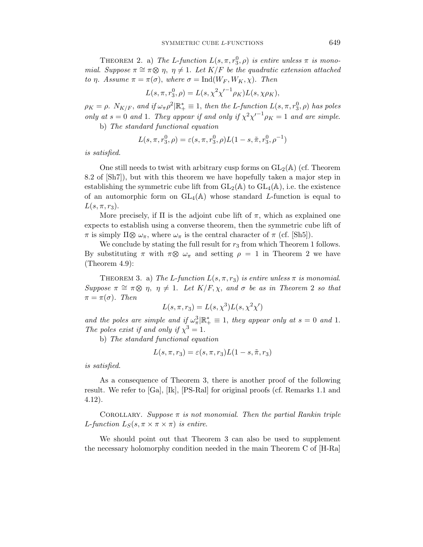THEOREM 2. a) The *L*-function  $L(s, \pi, r_3^0, \rho)$  is entire unless  $\pi$  is monomial. Suppose  $\pi \cong \pi \otimes \eta$ ,  $\eta \neq 1$ . Let  $K/F$  be the quadratic extension attached to *η*. Assume *π* = *π*(*σ*), where *σ* = Ind(*W<sup>F</sup> , WK, χ*). Then

$$
L(s, \pi, r_3^0, \rho) = L(s, \chi^2 {\chi'}^{-1} \rho_K) L(s, \chi \rho_K),
$$

 $\rho_K = \rho$ . *N*<sub>*K*</sub> $/F$ , and if  $\omega_{\pi} \rho^2 | \mathbb{R}_+^* \equiv 1$ , then the *L*-function  $L(s, \pi, r_3^0, \rho)$  has poles only at  $s = 0$  and 1. They appear if and only if  $\chi^2 \chi^{-1} \rho_K = 1$  and are simple. b) The standard functional equation

 $L(s, \pi, r_3^0, \rho) = \varepsilon(s, \pi, r_3^0, \rho) L(1-s, \tilde{\pi}, r_3^0, \rho^{-1})$ 

is satisfied.

One still needs to twist with arbitrary cusp forms on  $GL_2(\mathbb{A})$  (cf. Theorem 8.2 of [Sh7]), but with this theorem we have hopefully taken a major step in establishing the symmetric cube lift from  $GL_2(\mathbb{A})$  to  $GL_4(\mathbb{A})$ , i.e. the existence of an automorphic form on  $GL_4(\mathbb{A})$  whose standard *L*-function is equal to  $L(s, \pi, r_3)$ .

More precisely, if  $\Pi$  is the adjoint cube lift of  $\pi$ , which as explained one expects to establish using a converse theorem, then the symmetric cube lift of  $\pi$  is simply  $\Pi \otimes \omega_{\pi}$ , where  $\omega_{\pi}$  is the central character of  $\pi$  (cf. [Sh5]).

We conclude by stating the full result for  $r_3$  from which Theorem 1 follows. By substituting *π* with  $π$ ⊗  $ω_π$  and setting  $ρ = 1$  in Theorem 2 we have (Theorem 4.9):

THEOREM 3. a) The *L*-function  $L(s, \pi, r_3)$  is entire unless  $\pi$  is monomial. Suppose  $\pi \cong \pi \otimes \eta$ ,  $\eta \neq 1$ . Let  $K/F$ ,  $\chi$ , and  $\sigma$  be as in Theorem 2 so that  $\pi = \pi(\sigma)$ . Then

$$
L(s, \pi, r_3) = L(s, \chi^3) L(s, \chi^2 \chi')
$$

and the poles are simple and if  $\omega_{\pi}^3|\mathbb{R}_+^* \equiv 1$ , they appear only at  $s = 0$  and 1. The poles exist if and only if  $\chi^3 = 1$ .

b) The standard functional equation

$$
L(s, \pi, r_3) = \varepsilon(s, \pi, r_3)L(1-s, \tilde{\pi}, r_3)
$$

is satisfied.

As a consequence of Theorem 3, there is another proof of the following result. We refer to [Ga], [Ik], [PS-Ral] for original proofs (cf. Remarks 1.1 and 4.12).

COROLLARY. Suppose  $\pi$  is not monomial. Then the partial Rankin triple *L*-function  $L_S(s, \pi \times \pi \times \pi)$  is entire.

We should point out that Theorem 3 can also be used to supplement the necessary holomorphy condition needed in the main Theorem C of [H-Ra]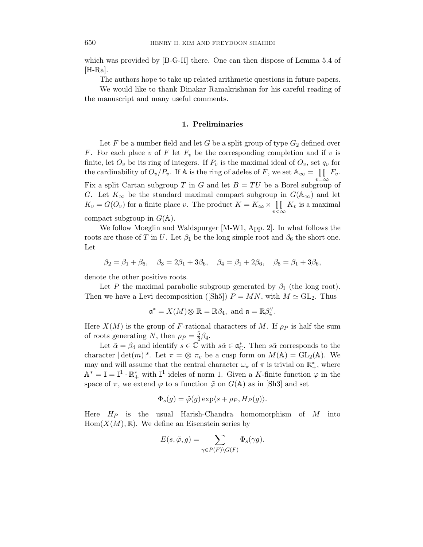which was provided by [B-G-H] there. One can then dispose of Lemma 5.4 of  $[**H-Ra**].$ 

The authors hope to take up related arithmetic questions in future papers.

We would like to thank Dinakar Ramakrishnan for his careful reading of the manuscript and many useful comments.

#### **1. Preliminaries**

Let  $F$  be a number field and let  $G$  be a split group of type  $G_2$  defined over *F*. For each place *v* of *F* let *F<sup>v</sup>* be the corresponding completion and if *v* is finite, let  $O_v$  be its ring of integers. If  $P_v$  is the maximal ideal of  $O_v$ , set  $q_v$  for the cardinability of  $O_v/P_v$ . If A is the ring of adeles of *F*, we set  $A_\infty = \prod F_v$ . Fix a split Cartan subgroup *T* in *G* and let  $B = TU$  be a Borel subgroup of *G*. Let  $K_{\infty}$  be the standard maximal compact subgroup in  $G(\mathbb{A}_{\infty})$  and let  $K_v = G(O_v)$  for a finite place *v*. The product  $K = K_{\infty} \times \prod_{v < \infty}$  $K_v$  is a maximal compact subgroup in  $G(\mathbb{A})$ .

We follow Moeglin and Waldspurger [M-W1, App. 2]. In what follows the roots are those of *T* in *U*. Let  $\beta_1$  be the long simple root and  $\beta_6$  the short one. Let

$$
\beta_2 = \beta_1 + \beta_6, \quad \beta_3 = 2\beta_1 + 3\beta_6, \quad \beta_4 = \beta_1 + 2\beta_6, \quad \beta_5 = \beta_1 + 3\beta_6,
$$

denote the other positive roots.

Let *P* the maximal parabolic subgroup generated by  $\beta_1$  (the long root). Then we have a Levi decomposition ([Sh5])  $P = MN$ , with  $M \simeq GL_2$ . Thus

$$
\mathfrak{a}^* = X(M) \otimes \mathbb{R} = \mathbb{R}\beta_4, \text{ and } \mathfrak{a} = \mathbb{R}\beta_4^{\vee}.
$$

Here  $X(M)$  is the group of *F*-rational characters of *M*. If  $\rho_P$  is half the sum of roots generating *N*, then  $\rho_P = \frac{5}{2}\beta_4$ .

Let  $\tilde{\alpha} = \beta_4$  and identify  $s \in \mathbb{C}$  with  $s\tilde{\alpha} \in \mathfrak{a}_{\mathbb{C}}^*$ . Then  $s\tilde{\alpha}$  corresponds to the character  $|\det(m)|^s$ . Let  $\pi = \otimes \pi_v$  be a cusp form on  $M(\mathbb{A}) = GL_2(\mathbb{A})$ . We may and will assume that the central character  $\omega_{\pi}$  of  $\pi$  is trivial on  $\mathbb{R}^*_{+}$ , where  $\mathbb{A}^* = \mathbb{I} = \mathbb{I}^1 \cdot \mathbb{R}_+^*$  with  $\mathbb{I}^1$  ideles of norm 1. Given a *K*-finite function  $\varphi$  in the space of  $\pi$ , we extend  $\varphi$  to a function  $\tilde{\varphi}$  on  $G(\mathbb{A})$  as in [Sh3] and set

$$
\Phi_s(g) = \tilde{\varphi}(g) \exp\langle s + \rho_P, H_P(g) \rangle.
$$

Here *H<sup>P</sup>* is the usual Harish-Chandra homomorphism of *M* into  $Hom(X(M), \mathbb{R})$ . We define an Eisenstein series by

$$
E(s,\tilde{\varphi},g)=\sum_{\gamma\in P(F)\backslash G(F)}\Phi_s(\gamma g).
$$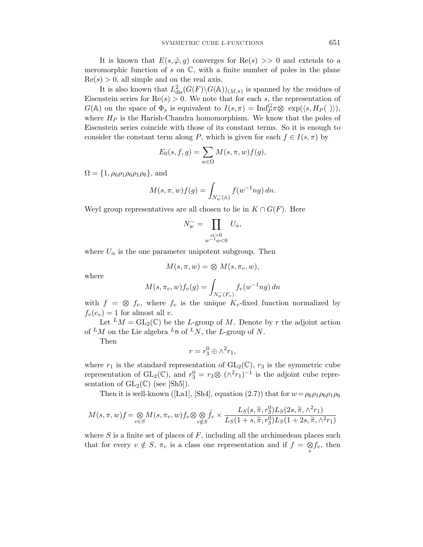It is known that  $E(s, \tilde{\varphi}, g)$  converges for  $\text{Re}(s) >> 0$  and extends to a meromorphic function of  $s$  on  $\mathbb{C}$ , with a finite number of poles in the plane  $Re(s) > 0$ , all simple and on the real axis.

It is also known that  $L^2_{\text{dis}}(G(F) \backslash G(\mathbb{A}))_{(M,\pi)}$  is spanned by the residues of Eisenstein series for  $\text{Re}(s) > 0$ . We note that for each *s*, the representation of *G*(A) on the space of  $\Phi_s$  is equivalent to  $I(s,\pi) = \text{Ind}_{P}^G \pi \otimes \exp(\langle s, H_P(\ ) \rangle),$ where  $H_P$  is the Harish-Chandra homomorphism. We know that the poles of Eisenstein series coincide with those of its constant terms. So it is enough to consider the constant term along *P*, which is given for each  $f \in I(s, \pi)$  by

$$
E_0(s, f, g) = \sum_{w \in \Omega} M(s, \pi, w) f(g),
$$

 $\Omega = \{1, \rho_6 \rho_1 \rho_6 \rho_1 \rho_6\}$ , and

$$
M(s,\pi,w)f(g) = \int_{N_w^-(\mathbb{A})} f(w^{-1}ng) dn.
$$

Weyl group representatives are all chosen to lie in  $K \cap G(F)$ . Here

$$
N_w^- = \prod_{\substack{\alpha > 0 \\ w^{-1}\alpha < 0}} U_\alpha,
$$

where  $U_{\alpha}$  is the one parameter unipotent subgroup. Then

$$
M(s, \pi, w) = \otimes M(s, \pi_v, w),
$$

where

$$
M(s, \pi_v, w) f_v(g) = \int_{N_w^-(F_v)} f_v(w^{-1}ng) \, dn
$$

with  $f = \otimes f_v$ , where  $f_v$  is the unique  $K_v$ -fixed function normalized by  $f_v(e_v) = 1$  for almost all *v*.

Let  $^LM = GL_2(\mathbb{C})$  be the *L*-group of *M*. Denote by *r* the adjoint action of <sup>L</sup>M on the Lie algebra <sup>L</sup><sub>n</sub> of <sup>L</sup>N, the L-group of N.

Then

$$
r = r_3^0 \oplus \wedge^2 r_1,
$$

where  $r_1$  is the standard representation of  $GL_2(\mathbb{C})$ ,  $r_3$  is the symmetric cube representation of  $GL_2(\mathbb{C})$ , and  $r_3^0 = r_3 \otimes (\wedge^2 r_1)^{-1}$  is the adjoint cube representation of  $GL_2(\mathbb{C})$  (see [Sh5]).

Then it is well-known ([La1], [Sh4], equation (2.7)) that for  $w = \rho_6 \rho_1 \rho_6 \rho_1 \rho_6$ 

$$
M(s,\pi,w)f = \underset{v \in S}{\otimes} M(s,\pi_v,w)f_v \otimes \underset{v \notin S}{\otimes} \tilde{f}_v \times \frac{L_S(s,\widetilde{\pi},r_3^0)L_S(2s,\widetilde{\pi},\wedge^2 r_1)}{L_S(1+s,\widetilde{\pi},r_3^0)L_S(1+2s,\widetilde{\pi},\wedge^2 r_1)}
$$

where *S* is a finite set of places of *F*, including all the archimedean places such that for every  $v \notin S$ ,  $\pi_v$  is a class one representation and if  $f = \underset{v}{\otimes} f_v$ , then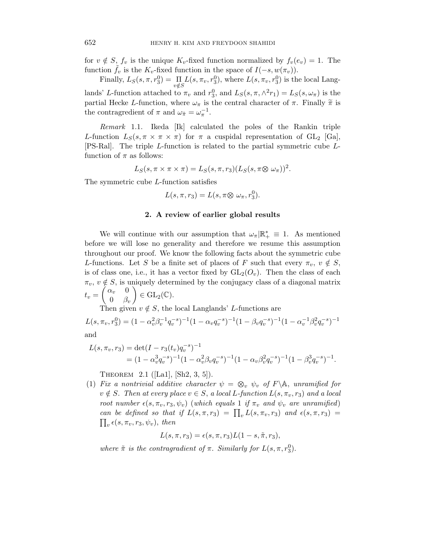for  $v \notin S$ ,  $f_v$  is the unique  $K_v$ -fixed function normalized by  $f_v(e_v) = 1$ . The function  $f_v$  is the  $K_v$ -fixed function in the space of  $I(-s, w(\pi_v))$ .

Finally,  $L_S(s, \pi, r_3^0) = \prod_{v \notin S} L(s, \pi_v, r_3^0)$ , where  $L(s, \pi_v, r_3^0)$  is the local Langlands' *L*-function attached to  $\pi_v$  and  $r_3^0$ , and  $L_S(s, \pi, \wedge^2 r_1) = L_S(s, \omega_\pi)$  is the partial Hecke *L*-function, where  $\omega_{\pi}$  is the central character of  $\pi$ . Finally  $\tilde{\pi}$  is the contragredient of  $\pi$  and  $\omega_{\tilde{\pi}} = \omega_{\pi}^{-1}$ .

Remark 1.1. Ikeda [Ik] calculated the poles of the Rankin triple *L*-function  $L_S(s, \pi \times \pi \times \pi)$  for  $\pi$  a cuspidal representation of GL<sub>2</sub> [Ga], [PS-Ral]. The triple *L*-function is related to the partial symmetric cube *L*function of  $\pi$  as follows:

$$
L_S(s, \pi \times \pi \times \pi) = L_S(s, \pi, r_3)(L_S(s, \pi \otimes \omega_{\pi}))^{2}.
$$

The symmetric cube *L*-function satisfies

$$
L(s, \pi, r_3) = L(s, \pi \otimes \omega_{\pi}, r_3^0).
$$

#### **2. A review of earlier global results**

We will continue with our assumption that  $\omega_{\pi}|\mathbb{R}_{+}^{*} \equiv 1$ . As mentioned before we will lose no generality and therefore we resume this assumption throughout our proof. We know the following facts about the symmetric cube *L*-functions. Let *S* be a finite set of places of *F* such that every  $\pi_v$ ,  $v \notin S$ , is of class one, i.e., it has a vector fixed by  $GL_2(O_v)$ . Then the class of each  $\pi_v$ ,  $v \notin S$ , is uniquely determined by the conjugacy class of a diagonal matrix  $t_v = \begin{pmatrix} \alpha_v & 0 \\ 0 & \beta \end{pmatrix}$ 0 *β<sup>v</sup>*  $\Big) \in \mathrm{GL}_2(\mathbb{C}).$ 

Then given  $v \notin S$ , the local Langlands' *L*-functions are

 $L(s, \pi_v, r_3^0) = (1 - \alpha_v^2 \beta_v^{-1} q_v^{-s})^{-1} (1 - \alpha_v q_v^{-s})^{-1} (1 - \beta_v q_v^{-s})^{-1} (1 - \alpha_v^{-1} \beta_v^2 q_v^{-s})^{-1}$ and

$$
L(s, \pi_v, r_3) = \det(I - r_3(t_v)q_v^{-s})^{-1}
$$
  
=  $(1 - \alpha_v^3 q_v^{-s})^{-1} (1 - \alpha_v^2 \beta_v q_v^{-s})^{-1} (1 - \alpha_v \beta_v^2 q_v^{-s})^{-1} (1 - \beta_v^3 q_v^{-s})^{-1}.$ 

THEOREM 2.1 ([La1], [Sh2, 3, 5]).

(1) Fix a nontrivial additive character  $\psi = \otimes_v \psi_v$  of  $F \backslash \mathbb{A}$ , unramified for  $v \notin S$ . Then at every place  $v \in S$ , a local *L*-function  $L(s, \pi_v, r_3)$  and a local root number  $\epsilon(s, \pi_v, r_3, \psi_v)$  (which equals 1 if  $\pi_v$  and  $\psi_v$  are unramified) can be defined so that if  $L(s, \pi, r_3) = \prod_v L(s, \pi_v, r_3)$  and  $\epsilon(s, \pi, r_3) =$  $\prod_{v} \epsilon(s, \pi_v, r_3, \psi_v)$ , then

$$
L(s, \pi, r_3) = \epsilon(s, \pi, r_3) L(1-s, \tilde{\pi}, r_3),
$$

where  $\tilde{\pi}$  is the contragradient of  $\pi$ . Similarly for  $L(s, \pi, r_3^0)$ .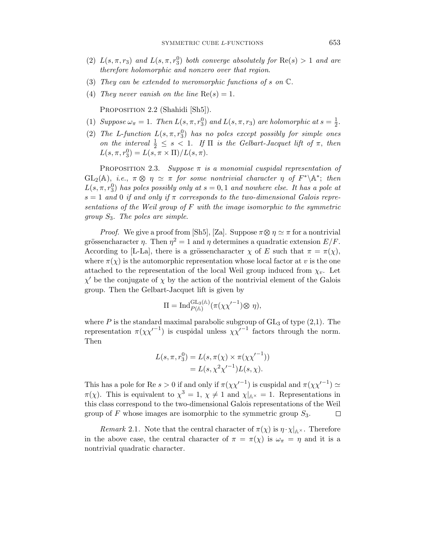- (2)  $L(s, \pi, r_3)$  and  $L(s, \pi, r_3^0)$  both converge absolutely for  $\text{Re}(s) > 1$  and are therefore holomorphic and nonzero over that region.
- (3) They can be extended to meromorphic functions of *s* on C.
- (4) They never vanish on the line  $\text{Re}(s) = 1$ .

PROPOSITION 2.2 (Shahidi [Sh5]).

- (1) Suppose  $\omega_{\pi} = 1$ . Then  $L(s, \pi, r_3)$  and  $L(s, \pi, r_3)$  are holomorphic at  $s = \frac{1}{2}$ .
- (2) The *L*-function  $L(s, \pi, r_3^0)$  has no poles except possibly for simple ones on the interval  $\frac{1}{2} \leq s < 1$ . If  $\Pi$  is the Gelbart-Jacquet lift of  $\pi$ , then  $L(s, \pi, r_3^0) = L(s, \pi \times \Pi)/L(s, \pi).$

PROPOSITION 2.3. Suppose  $\pi$  is a monomial cuspidal representation of GL<sub>2</sub>(A), *i.e.*,  $\pi \otimes \eta \simeq \pi$  for some nontrivial character  $\eta$  of  $F^*\A^*$ ; then  $L(s, \pi, r_3^0)$  has poles possibly only at  $s = 0, 1$  and nowhere else. It has a pole at  $s = 1$  and 0 if and only if  $\pi$  corresponds to the two-dimensional Galois representations of the Weil group of *F* with the image isomorphic to the symmetric group *S*3. The poles are simple.

*Proof.* We give a proof from [Sh5], [Za]. Suppose  $\pi \otimes \eta \simeq \pi$  for a nontrivial grössencharacter *η*. Then  $\eta^2 = 1$  and *η* determines a quadratic extension  $E/F$ . According to [L-La], there is a grössencharacter  $\chi$  of *E* such that  $\pi = \pi(\chi)$ , where  $\pi(\chi)$  is the automorphic representation whose local factor at *v* is the one attached to the representation of the local Weil group induced from  $\chi_v$ . Let  *be the conjugate of <i>χ* by the action of the nontrivial element of the Galois group. Then the Gelbart-Jacquet lift is given by

$$
\Pi = \mathrm{Ind}_{P(\mathbb{A})}^{\mathrm{GL}_3(\mathbb{A})}(\pi(\chi\chi'^{-1})\otimes \eta),
$$

where  $P$  is the standard maximal parabolic subgroup of  $GL_3$  of type  $(2,1)$ . The representation  $\pi(\chi\chi^{-1})$  is cuspidal unless  $\chi\chi^{-1}$  factors through the norm. Then

$$
L(s, \pi, r_3^0) = L(s, \pi(\chi) \times \pi(\chi \chi'^{-1}))
$$
  
=  $L(s, \chi^2 \chi'^{-1})L(s, \chi)$ .

This has a pole for Re  $s > 0$  if and only if  $\pi(\chi \chi'^{-1})$  is cuspidal and  $\pi(\chi \chi'^{-1}) \simeq$ *π*(*χ*). This is equivalent to  $\chi^3 = 1$ ,  $\chi \neq 1$  and  $\chi|_{\mathbb{A}^{\times}} = 1$ . Representations in this class correspond to the two-dimensional Galois representations of the Weil group of *F* whose images are isomorphic to the symmetric group *S*3. □

Remark 2.1. Note that the central character of  $\pi(\chi)$  is  $\eta \cdot \chi|_{\mathbb{A}^{\times}}$ . Therefore in the above case, the central character of  $\pi = \pi(\chi)$  is  $\omega_{\pi} = \eta$  and it is a nontrivial quadratic character.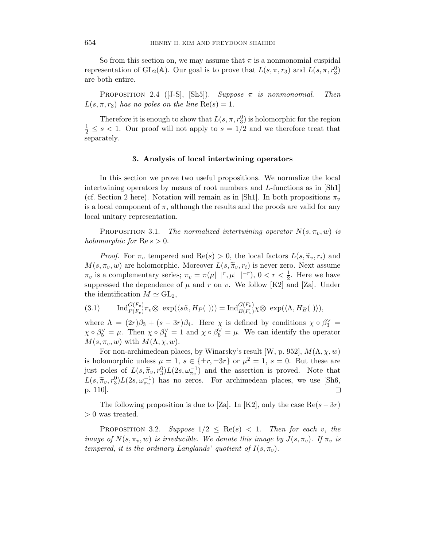So from this section on, we may assume that  $\pi$  is a nonmonomial cuspidal representation of GL<sub>2</sub>( $\mathbb{A}$ ). Our goal is to prove that  $L(s, \pi, r_3)$  and  $L(s, \pi, r_3^0)$ are both entire.

PROPOSITION 2.4 ([J-S], [Sh5]). Suppose  $\pi$  is nonmonomial. Then  $L(s, \pi, r_3)$  has no poles on the line  $\text{Re}(s) = 1$ .

Therefore it is enough to show that  $L(s, \pi, r_3^0)$  is holomorphic for the region  $\frac{1}{2} \leq s < 1$ . Our proof will not apply to  $s = 1/2$  and we therefore treat that separately.

### **3. Analysis of local intertwining operators**

In this section we prove two useful propositions. We normalize the local intertwining operators by means of root numbers and *L*-functions as in [Sh1] (cf. Section 2 here). Notation will remain as in [Sh1]. In both propositions  $\pi_v$ is a local component of  $\pi$ , although the results and the proofs are valid for any local unitary representation.

PROPOSITION 3.1. The normalized intertwining operator  $N(s, \pi_v, w)$  is holomorphic for  $\text{Re } s > 0$ .

*Proof.* For  $\pi_v$  tempered and  $\text{Re}(s) > 0$ , the local factors  $L(s, \tilde{\pi}_v, r_i)$  and  $M(s, \pi_v, w)$  are holomorphic. Moreover  $L(s, \tilde{\pi}_v, r_i)$  is never zero. Next assume  $\pi_v$  is a complementary series;  $\pi_v = \pi(\mu | r, \mu | r)$ ,  $0 < r < \frac{1}{2}$ . Here we have suppressed the dependence of  $\mu$  and  $r$  on  $v$ . We follow [K2] and [Za]. Under the identification  $M \simeq GL_2$ ,

(3.1) 
$$
\operatorname{Ind}_{P(F_v)}^{G(F_v)} \pi_v \otimes \exp(\langle s\tilde{\alpha}, H_P(\cdot) \rangle) = \operatorname{Ind}_{B(F_v)}^{G(F_v)} \chi \otimes \exp(\langle \Lambda, H_B(\cdot) \rangle),
$$

where  $\Lambda = (2r)\beta_3 + (s - 3r)\beta_4$ . Here  $\chi$  is defined by conditions  $\chi \circ \beta_3^{\vee} =$  $\chi \circ \beta_5^{\vee} = \mu$ . Then  $\chi \circ \beta_1^{\vee} = 1$  and  $\chi \circ \beta_6^{\vee} = \mu$ . We can identify the operator  $M(s, \pi_v, w)$  with  $M(\Lambda, \chi, w)$ .

For non-archimedean places, by Winarsky's result [W, p. 952],  $M(\Lambda, \chi, w)$ is holomorphic unless  $\mu = 1$ ,  $s \in \{\pm r, \pm 3r\}$  or  $\mu^2 = 1$ ,  $s = 0$ . But these are just poles of  $L(s, \tilde{\pi}_v, r_0^0) L(2s, \omega_{\pi_v}^{-1})$  and the assertion is proved. Note that  $L(s, \tilde{\pi}_v, r_3^0)L(2s, \omega_{\pi_v}^{-1})$  has no zeros. For archimedean places, we use [Sh6, p. 110].  $\Box$ 

The following proposition is due to [Za]. In [K2], only the case  $\text{Re}(s-3r)$ *>* 0 was treated.

PROPOSITION 3.2. Suppose  $1/2 \leq \text{Re}(s) < 1$ . Then for each *v*, the image of  $N(s, \pi_v, w)$  is irreducible. We denote this image by  $J(s, \pi_v)$ . If  $\pi_v$  is tempered, it is the ordinary Langlands' quotient of  $I(s, \pi_v)$ .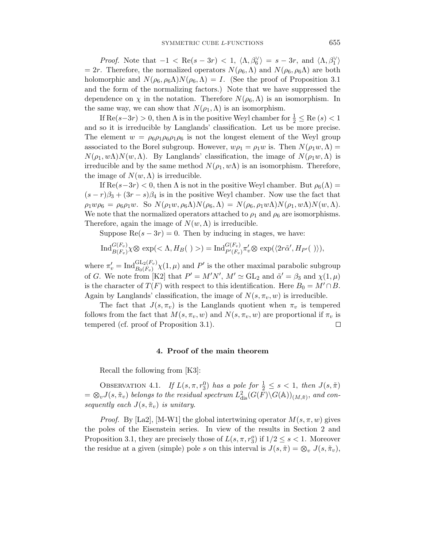*Proof.* Note that  $-1 < \text{Re}(s - 3r) < 1$ ,  $\langle \Lambda, \beta_6^{\vee} \rangle = s - 3r$ , and  $\langle \Lambda, \beta_1^{\vee} \rangle$  $= 2r$ . Therefore, the normalized operators  $N(\rho_6, \Lambda)$  and  $N(\rho_6, \rho_6\Lambda)$  are both holomorphic and  $N(\rho_6, \rho_6\Lambda)N(\rho_6, \Lambda) = I$ . (See the proof of Proposition 3.1) and the form of the normalizing factors.) Note that we have suppressed the dependence on  $\chi$  in the notation. Therefore  $N(\rho_6, \Lambda)$  is an isomorphism. In the same way, we can show that  $N(\rho_1, \Lambda)$  is an isomorphism.

If  $\text{Re}(s-3r) > 0$ , then  $\Lambda$  is in the positive Weyl chamber for  $\frac{1}{2} \leq \text{Re}(s) < 1$ and so it is irreducible by Langlands' classification. Let us be more precise. The element  $w = \rho_6 \rho_1 \rho_6 \rho_1 \rho_6$  is not the longest element of the Weyl group associated to the Borel subgroup. However,  $w\rho_1 = \rho_1 w$  is. Then  $N(\rho_1 w, \Lambda) =$  $N(\rho_1, w\Lambda)N(w,\Lambda)$ . By Langlands' classification, the image of  $N(\rho_1 w,\Lambda)$  is irreducible and by the same method  $N(\rho_1, w\Lambda)$  is an isomorphism. Therefore, the image of  $N(w, \Lambda)$  is irreducible.

If  $\text{Re}(s-3r) < 0$ , then  $\Lambda$  is not in the positive Weyl chamber. But  $\rho_6(\Lambda) =$  $(s-r)\beta_3 + (3r - s)\beta_4$  is in the positive Weyl chamber. Now use the fact that  $\rho_1 w \rho_6 = \rho_6 \rho_1 w$ . So  $N(\rho_1 w, \rho_6 \Lambda) N(\rho_6, \Lambda) = N(\rho_6, \rho_1 w \Lambda) N(\rho_1, w \Lambda) N(w, \Lambda)$ . We note that the normalized operators attached to  $\rho_1$  and  $\rho_6$  are isomorphisms. Therefore, again the image of  $N(w, \Lambda)$  is irreducible.

Suppose  $\text{Re}(s - 3r) = 0$ . Then by inducing in stages, we have:

$$
\operatorname{Ind}_{B(F_v)}^{G(F_v)} \chi \otimes \exp \left( \langle \Lambda, H_B(\cdot) \rangle \right) = \operatorname{Ind}_{P'(F_v)}^{G(F_v)} \pi'_v \otimes \exp(\langle 2r\tilde{\alpha}', H_{P'}(\cdot) \rangle),
$$

where  $\pi'_v = \text{Ind}_{B_0(F_v)}^{\text{GL}_2(F_v)} \chi(1,\mu)$  and  $P'$  is the other maximal parabolic subgroup of *G*. We note from [K2] that  $P' = M'N'$ ,  $M' \simeq GL_2$  and  $\tilde{\alpha}' = \beta_3$  and  $\chi(1,\mu)$ is the character of  $T(F)$  with respect to this identification. Here  $B_0 = M' \cap B$ . Again by Langlands' classification, the image of  $N(s, \pi_v, w)$  is irreducible.

The fact that  $J(s, \pi_v)$  is the Langlands quotient when  $\pi_v$  is tempered follows from the fact that  $M(s, \pi_v, w)$  and  $N(s, \pi_v, w)$  are proportional if  $\pi_v$  is tempered (cf. proof of Proposition 3.1). □

#### **4. Proof of the main theorem**

Recall the following from [K3]:

OBSERVATION 4.1. If  $L(s, \pi, r_3^0)$  has a pole for  $\frac{1}{2} \leq s < 1$ , then  $J(s, \tilde{\pi})$  $=\otimes_v J(s,\tilde{\pi}_v)$  belongs to the residual spectrum  $L^2_{\text{dis}}(G(\tilde{F})\backslash G(\mathbb{A}))_{(M,\tilde{\pi})}$ , and consequently each  $J(s, \tilde{\pi}_v)$  is unitary.

*Proof.* By [La2], [M-W1] the global intertwining operator  $M(s, \pi, w)$  gives the poles of the Eisenstein series. In view of the results in Section 2 and Proposition 3.1, they are precisely those of  $L(s, \pi, r_3^o)$  if  $1/2 \leq s < 1$ . Moreover the residue at a given (simple) pole *s* on this interval is  $J(s, \tilde{\pi}) = \otimes_v J(s, \tilde{\pi}_v)$ ,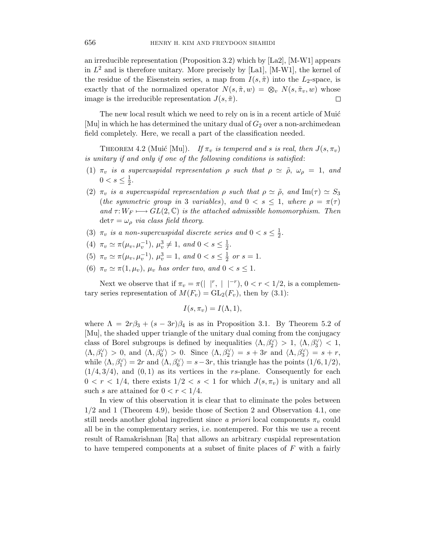an irreducible representation (Proposition 3.2) which by [La2], [M-W1] appears in  $L^2$  and is therefore unitary. More precisely by [La1], [M-W1], the kernel of the residue of the Eisenstein series, a map from  $I(s, \tilde{\pi})$  into the  $L_2$ -space, is exactly that of the normalized operator  $N(s, \tilde{\pi}, w) = \otimes_v N(s, \tilde{\pi}_v, w)$  whose image is the irreducible representation  $J(s, \tilde{\pi})$ . □

The new local result which we need to rely on is in a recent article of Muić [Mu] in which he has determined the unitary dual of  $G_2$  over a non-archimedean field completely. Here, we recall a part of the classification needed.

THEOREM 4.2 (Muić [Mu]). If  $\pi_v$  is tempered and *s* is real, then  $J(s, \pi_v)$ is unitary if and only if one of the following conditions is satisfied:

- (1)  $\pi_v$  is a supercuspidal representation  $\rho$  such that  $\rho \simeq \tilde{\rho}, \omega_\rho = 1, \text{ and}$  $0 < s \leq \frac{1}{2}$ .
- (2)  $\pi_v$  is a supercuspidal representation  $\rho$  such that  $\rho \simeq \tilde{\rho}$ , and Im( $\tau$ )  $\simeq S_3$ (the symmetric group in 3 variables), and  $0 < s \leq 1$ , where  $\rho = \pi(\tau)$ and  $\tau: W_F \longmapsto GL(2,\mathbb{C})$  is the attached admissible homomorphism. Then  $\det \tau = \omega_{\rho}$  *via class field theory.*
- (3)  $\pi_v$  is a non-supercuspidal discrete series and  $0 < s \leq \frac{1}{2}$ .
- (4)  $\pi_v \simeq \pi(\mu_v, \mu_v^{-1}), \mu_v^3 \neq 1, \text{ and } 0 < s \leq \frac{1}{2}.$
- (5)  $\pi_v \simeq \pi(\mu_v, \mu_v^{-1}), \mu_v^3 = 1, \text{ and } 0 < s \le \frac{1}{2} \text{ or } s = 1.$
- (6)  $\pi_v \simeq \pi(1,\mu_v)$ ,  $\mu_v$  has order two, and  $0 < s \leq 1$ .

Next we observe that if  $\pi_v = \pi(|r_r|^{r}, |r^{-r}), 0 < r < 1/2$ , is a complementary series representation of  $M(F_v) = GL_2(F_v)$ , then by (3.1):

$$
I(s,\pi_v)=I(\Lambda,1),
$$

where  $\Lambda = 2r\beta_3 + (s - 3r)\beta_4$  is as in Proposition 3.1. By Theorem 5.2 of [Mu], the shaded upper triangle of the unitary dual coming from the conjugacy class of Borel subgroups is defined by inequalities  $\langle \Lambda, \beta_2^{\vee} \rangle > 1, \langle \Lambda, \beta_3^{\vee} \rangle < 1$ ,  $\langle \Lambda, \beta_1^{\vee} \rangle > 0$ , and  $\langle \Lambda, \beta_6^{\vee} \rangle > 0$ . Since  $\langle \Lambda, \beta_2^{\vee} \rangle = s + 3r$  and  $\langle \Lambda, \beta_3^{\vee} \rangle = s + r$ , while  $\langle \Lambda, \beta_1^{\vee} \rangle = 2r$  and  $\langle \Lambda, \beta_6^{\vee} \rangle = s - 3r$ , this triangle has the points  $(1/6, 1/2)$ ,  $(1/4,3/4)$ , and  $(0,1)$  as its vertices in the *rs*-plane. Consequently for each  $0 < r < 1/4$ , there exists  $1/2 < s < 1$  for which  $J(s, \pi_v)$  is unitary and all such *s* are attained for  $0 < r < 1/4$ .

In view of this observation it is clear that to eliminate the poles between 1*/*2 and 1 (Theorem 4.9), beside those of Section 2 and Observation 4.1, one still needs another global ingredient since a priori local components  $\pi$ <sup>*v*</sup> could all be in the complementary series, i.e. nontempered. For this we use a recent result of Ramakrishnan [Ra] that allows an arbitrary cuspidal representation to have tempered components at a subset of finite places of *F* with a fairly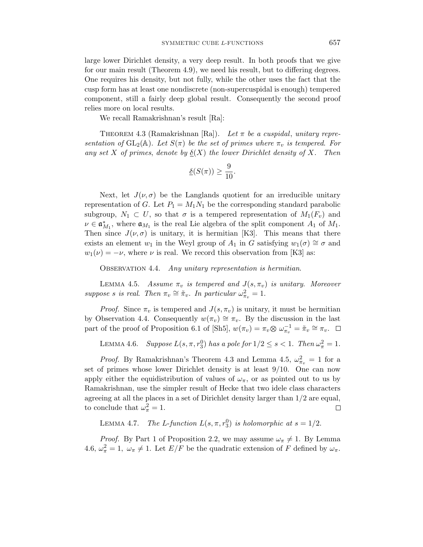large lower Dirichlet density, a very deep result. In both proofs that we give for our main result (Theorem 4.9), we need his result, but to differing degrees. One requires his density, but not fully, while the other uses the fact that the cusp form has at least one nondiscrete (non-supercuspidal is enough) tempered component, still a fairly deep global result. Consequently the second proof relies more on local results.

We recall Ramakrishnan's result [Ra]:

THEOREM 4.3 (Ramakrishnan [Ra]). Let  $\pi$  be a cuspidal, unitary representation of  $GL_2(\mathbb{A})$ . Let  $S(\pi)$  be the set of primes where  $\pi_v$  is tempered. For any set *X* of primes, denote by  $\underline{\delta}(X)$  the lower Dirichlet density of *X*. Then

$$
\underline{\delta}(S(\pi)) \ge \frac{9}{10}.
$$

Next, let  $J(\nu, \sigma)$  be the Langlands quotient for an irreducible unitary representation of *G*. Let  $P_1 = M_1 N_1$  be the corresponding standard parabolic subgroup,  $N_1 \subset U$ , so that  $\sigma$  is a tempered representation of  $M_1(F_v)$  and  $\nu \in \mathfrak{a}_{M_1}^*$ , where  $\mathfrak{a}_{M_1}$  is the real Lie algebra of the split component  $A_1$  of  $M_1$ . Then since  $J(\nu, \sigma)$  is unitary, it is hermitian [K3]. This means that there exists an element *w*<sub>1</sub> in the Weyl group of  $A_1$  in *G* satisfying  $w_1(\sigma) \cong \sigma$  and  $w_1(\nu) = -\nu$ , where  $\nu$  is real. We record this observation from [K3] as:

OBSERVATION 4.4. Any unitary representation is hermitian.

LEMMA 4.5. Assume  $\pi_v$  is tempered and  $J(s, \pi_v)$  is unitary. Moreover suppose *s* is real. Then  $\pi_v \cong \tilde{\pi}_v$ . In particular  $\omega_{\pi_v}^2 = 1$ .

*Proof.* Since  $\pi_v$  is tempered and  $J(s, \pi_v)$  is unitary, it must be hermitian by Observation 4.4. Consequently  $w(\pi_v) \cong \pi_v$ . By the discussion in the last part of the proof of Proposition 6.1 of [Sh5],  $w(\pi_v) = \pi_v \otimes \omega_{\pi_v}^{-1} = \tilde{\pi}_v \cong \pi_v$ .  $\Box$ 

LEMMA 4.6. Suppose  $L(s, \pi, r_3^0)$  has a pole for  $1/2 \le s < 1$ . Then  $\omega_{\pi}^2 = 1$ .

*Proof.* By Ramakrishnan's Theorem 4.3 and Lemma 4.5,  $\omega_{\pi_v}^2 = 1$  for a set of primes whose lower Dirichlet density is at least 9/10. One can now apply either the equidistribution of values of  $\omega_{\pi}$ , or as pointed out to us by Ramakrishnan, use the simpler result of Hecke that two idele class characters agreeing at all the places in a set of Dirichlet density larger than 1/2 are equal, to conclude that  $\omega_{\pi}^2 = 1$ .  $\Box$ 

LEMMA 4.7. The *L*-function  $L(s, \pi, r_3^0)$  is holomorphic at  $s = 1/2$ .

*Proof.* By Part 1 of Proposition 2.2, we may assume  $\omega_{\pi} \neq 1$ . By Lemma 4.6,  $\omega_{\pi}^2 = 1$ ,  $\omega_{\pi} \neq 1$ . Let  $E/F$  be the quadratic extension of *F* defined by  $\omega_{\pi}$ .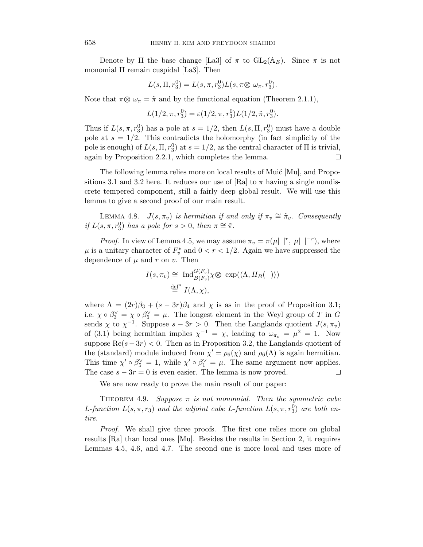Denote by  $\Pi$  the base change [La3] of  $\pi$  to  $GL_2(\mathbb{A}_E)$ . Since  $\pi$  is not monomial Π remain cuspidal [La3]. Then

$$
L(s, \Pi, r_3^0) = L(s, \pi, r_3^0) L(s, \pi \otimes \omega_{\pi}, r_3^0).
$$

Note that  $\pi \otimes \omega_{\pi} = \tilde{\pi}$  and by the functional equation (Theorem 2.1.1),

$$
L(1/2, \pi, r_3^0) = \varepsilon(1/2, \pi, r_3^0)L(1/2, \tilde{\pi}, r_3^0).
$$

Thus if  $L(s, \pi, r_3^0)$  has a pole at  $s = 1/2$ , then  $L(s, \Pi, r_3^0)$  must have a double pole at  $s = 1/2$ . This contradicts the holomorphy (in fact simplicity of the pole is enough) of  $L(s, \Pi, r_3^0)$  at  $s = 1/2$ , as the central character of  $\Pi$  is trivial, again by Proposition 2.2.1, which completes the lemma.  $\Box$ 

The following lemma relies more on local results of Muic [Mu], and Propositions 3.1 and 3.2 here. It reduces our use of [Ra] to  $\pi$  having a single nondiscrete tempered component, still a fairly deep global result. We will use this lemma to give a second proof of our main result.

LEMMA 4.8. *J*( $s, \pi_v$ ) is hermitian if and only if  $\pi_v \cong \tilde{\pi}_v$ . Consequently if  $L(s, \pi, r_3^0)$  has a pole for  $s > 0$ , then  $\pi \cong \tilde{\pi}$ .

*Proof.* In view of Lemma 4.5, we may assume  $\pi_v = \pi(\mu | r, \mu | r^r)$ , where  $\mu$  is a unitary character of  $F_v^*$  and  $0 < r < 1/2$ . Again we have suppressed the dependence of  $\mu$  and  $r$  on  $v$ . Then

$$
I(s, \pi_v) \cong \operatorname{Ind}_{B(F_v)}^{G(F_v)} \chi \otimes \exp(\langle \Lambda, H_B(\ ) \rangle)
$$
  

$$
\stackrel{\text{def}^n}{=} I(\Lambda, \chi),
$$

where  $\Lambda = (2r)\beta_3 + (s-3r)\beta_4$  and  $\chi$  is as in the proof of Proposition 3.1; i.e.  $\chi \circ \beta_3^{\vee} = \chi \circ \beta_5^{\vee} = \mu$ . The longest element in the Weyl group of *T* in *G* sends  $\chi$  to  $\chi^{-1}$ . Suppose  $s - 3r > 0$ . Then the Langlands quotient  $J(s, \pi_v)$ of (3.1) being hermitian implies  $\chi^{-1} = \chi$ , leading to  $\omega_{\pi_v} = \mu^2 = 1$ . Now suppose  $\text{Re}(s-3r) < 0$ . Then as in Proposition 3.2, the Langlands quotient of the (standard) module induced from  $\chi' = \rho_6(\chi)$  and  $\rho_6(\Lambda)$  is again hermitian. This time  $\chi' \circ \beta_5^{\vee} = 1$ , while  $\chi' \circ \beta_1^{\vee} = \mu$ . The same argument now applies. The case  $s - 3r = 0$  is even easier. The lemma is now proved. □

We are now ready to prove the main result of our paper:

THEOREM 4.9. Suppose  $\pi$  is not monomial. Then the symmetric cube *L*-function  $L(s, \pi, r_3)$  and the adjoint cube *L*-function  $L(s, \pi, r_3^0)$  are both entire.

Proof. We shall give three proofs. The first one relies more on global results [Ra] than local ones [Mu]. Besides the results in Section 2, it requires Lemmas 4.5, 4.6, and 4.7. The second one is more local and uses more of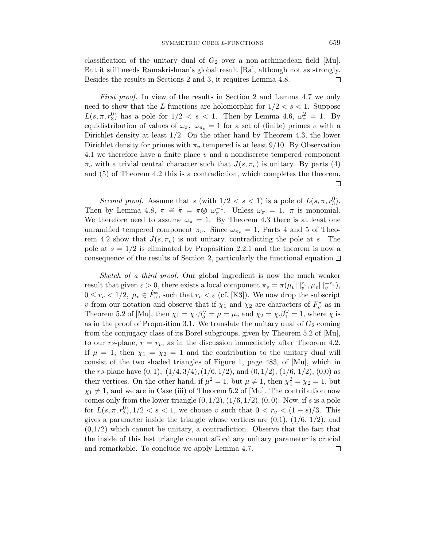classification of the unitary dual of  $G_2$  over a non-archimedean field [Mu]. But it still needs Ramakrishnan's global result [Ra], although not as strongly. Besides the results in Sections 2 and 3, it requires Lemma 4.8. □

First proof. In view of the results in Section 2 and Lemma 4.7 we only need to show that the *L*-functions are holomorphic for  $1/2 < s < 1$ . Suppose  $L(s, \pi, r_3^0)$  has a pole for  $1/2 < s < 1$ . Then by Lemma 4.6,  $\omega_{\pi}^2 = 1$ . By equidistribution of values of  $\omega_{\pi}$ ,  $\omega_{\pi}$  = 1 for a set of (finite) primes *v* with a Dirichlet density at least 1*/*2. On the other hand by Theorem 4.3, the lower Dirichlet density for primes with  $\pi_v$  tempered is at least 9/10. By Observation 4.1 we therefore have a finite place *v* and a nondiscrete tempered component  $\pi$ <sup>*v*</sup> with a trivial central character such that  $J(s, \pi$ <sup>*v*</sup>) is unitary. By parts (4) and (5) of Theorem 4.2 this is a contradiction, which completes the theorem. □

Second proof. Assume that *s* (with  $1/2 < s < 1$ ) is a pole of  $L(s, \pi, r_3^0)$ . Then by Lemma 4.8,  $\pi \cong \tilde{\pi} = \pi \otimes \omega_{\pi}^{-1}$ . Unless  $\omega_{\pi} = 1$ ,  $\pi$  is monomial. We therefore need to assume  $\omega_{\pi} = 1$ . By Theorem 4.3 there is at least one unramified tempered component  $\pi_v$ . Since  $\omega_{\pi_v} = 1$ , Parts 4 and 5 of Theorem 4.2 show that  $J(s, \pi_v)$  is not unitary, contradicting the pole at *s*. The pole at  $s = 1/2$  is eliminated by Proposition 2.2.1 and the theorem is now a consequence of the results of Section 2, particularly the functional equation. $\Box$ 

Sketch of a third proof. Our global ingredient is now the much weaker result that given  $\varepsilon > 0$ , there exists a local component  $\pi_v = \pi(\mu_v | \mid_v^{r_v}, \mu_v | \mid_v^{-r_v}),$  $0 \leq r_v < 1/2$ ,  $\mu_v \in \hat{F}_v^*$ , such that  $r_v < \varepsilon$  (cf. [K3]). We now drop the subscript *v* from our notation and observe that if  $\chi_1$  and  $\chi_2$  are characters of  $F_v^*$  as in Theorem 5.2 of [Mu], then  $\chi_1 = \chi \cdot \beta_5^{\vee} = \mu = \mu_v$  and  $\chi_2 = \chi \cdot \beta_1^{\vee} = 1$ , where  $\chi$  is as in the proof of Proposition 3.1. We translate the unitary dual of  $G_2$  coming from the conjugacy class of its Borel subgroups, given by Theorem 5.2 of [Mu], to our  $rs$ -plane,  $r = r_v$ , as in the discussion immediately after Theorem 4.2. If  $\mu = 1$ , then  $\chi_1 = \chi_2 = 1$  and the contribution to the unitary dual will consist of the two shaded triangles of Figure 1, page 483, of [Mu], which in the *rs*-plane have (0*,* 1)*,* (1*/*4*,* 3*/*4)*,*(1*/*6*,* 1*/*2), and (0*,* 1*/*2), (1/6, 1/2), (0,0) as their vertices. On the other hand, if  $\mu^2 = 1$ , but  $\mu \neq 1$ , then  $\chi_1^2 = \chi_2 = 1$ , but  $\chi_1 \neq 1$ , and we are in Case (iii) of Theorem 5.2 of [Mu]. The contribution now comes only from the lower triangle  $(0, 1/2)$ ,  $(1/6, 1/2)$ ,  $(0, 0)$ . Now, if *s* is a pole for  $L(s, \pi, r_3^0), 1/2 < s < 1$ , we choose *v* such that  $0 < r_v < (1 - s)/3$ . This gives a parameter inside the triangle whose vertices are  $(0,1)$ ,  $(1/6, 1/2)$ , and  $(0,1/2)$  which cannot be unitary, a contradiction. Observe that the fact that the inside of this last triangle cannot afford any unitary parameter is crucial and remarkable. To conclude we apply Lemma 4.7.□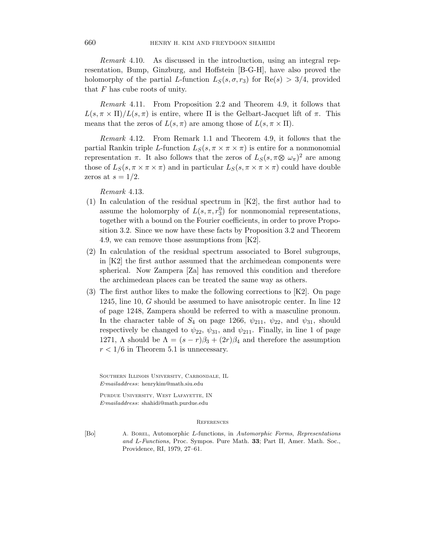Remark 4.10. As discussed in the introduction, using an integral representation, Bump, Ginzburg, and Hoffstein [B-G-H], have also proved the holomorphy of the partial *L*-function  $L_S(s, \sigma, r_3)$  for  $\text{Re}(s) > 3/4$ , provided that *F* has cube roots of unity.

Remark 4.11. From Proposition 2.2 and Theorem 4.9, it follows that  $L(s, \pi \times \Pi)/L(s, \pi)$  is entire, where  $\Pi$  is the Gelbart-Jacquet lift of  $\pi$ . This means that the zeros of  $L(s, \pi)$  are among those of  $L(s, \pi \times \Pi)$ .

Remark 4.12. From Remark 1.1 and Theorem 4.9, it follows that the partial Rankin triple *L*-function  $L_S(s, \pi \times \pi \times \pi)$  is entire for a nonmonomial representation *π*. It also follows that the zeros of  $L_S(s, \pi \otimes \omega_{\pi})^2$  are among those of  $L_S(s, \pi \times \pi \times \pi)$  and in particular  $L_S(s, \pi \times \pi \times \pi)$  could have double zeros at  $s = 1/2$ .

Remark 4.13.

- (1) In calculation of the residual spectrum in [K2], the first author had to assume the holomorphy of  $L(s, \pi, r_3^0)$  for nonmonomial representations, together with a bound on the Fourier coefficients, in order to prove Proposition 3.2. Since we now have these facts by Proposition 3.2 and Theorem 4.9, we can remove those assumptions from [K2].
- (2) In calculation of the residual spectrum associated to Borel subgroups, in [K2] the first author assumed that the archimedean components were spherical. Now Zampera [Za] has removed this condition and therefore the archimedean places can be treated the same way as others.
- (3) The first author likes to make the following corrections to [K2]. On page 1245, line 10, *G* should be assumed to have anisotropic center. In line 12 of page 1248, Zampera should be referred to with a masculine pronoun. In the character table of  $S_4$  on page 1266,  $\psi_{211}$ ,  $\psi_{22}$ , and  $\psi_{31}$ , should respectively be changed to  $\psi_{22}$ ,  $\psi_{31}$ , and  $\psi_{211}$ . Finally, in line 1 of page 1271,  $\Lambda$  should be  $\Lambda = (s - r)\beta_3 + (2r)\beta_4$  and therefore the assumption  $r < 1/6$  in Theorem 5.1 is unnecessary.

Southern Illinois University, Carbondale, IL *E-mailaddress*: henrykim@math.siu.edu

Purdue University, West Lafayette, IN *E-mailaddress*: shahidi@math.purdue.edu

#### **REFERENCES**

[Bo] A. Borel, Automorphic L-functions, in *Automorphic Forms*, *Representations and* L-*Functions*, Proc. Sympos. Pure Math. **33**; Part II, Amer. Math. Soc., Providence, RI, 1979, 27–61.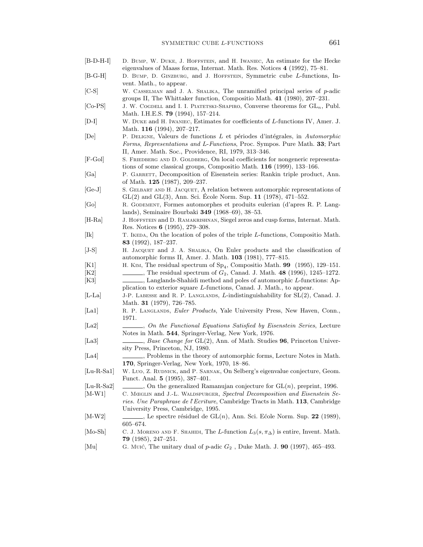- [B-D-H-I] D. Bump, W. Duke, J. Hoffstein, and H. Iwaniec, An estimate for the Hecke eigenvalues of Maass forms, Internat. Math. Res. Notices **4** (1992), 75–81.
- [B-G-H] D. BUMP, D. GINZBURG, and J. HOFFSTEIN, Symmetric cube L-functions, Invent. Math., to appear.
- [C-S] W. Casselman and J. A. Shalika, The unramified principal series of p-adic groups II, The Whittaker function, Compositio Math. **41** (1980), 207–231.
- [Co-PS] J. W. COGDELL and I. I. PIATETSKI-SHAPIRO, Converse theorems for  $GL_n$ , Publ. Math. I.H.E.S. **79** (1994), 157–214.
- [D-I] W. Duke and H. Iwaniec, Estimates for coefficients of L-functions IV, Amer. J. Math. **116** (1994), 207–217.
- [De] P. Deligne, Valeurs de functions L et p´eriodes d'int´egrales, in *Automorphic Forms*, *Representations and* L-*Functions*, Proc. Sympos. Pure Math. **33**; Part II, Amer. Math. Soc., Providence, RI, 1979, 313–346.
- [F-Gol] S. Friedberg and D. Goldberg, On local coefficients for nongeneric representations of some classical groups, Compositio Math. **116** (1999), 133–166.
- [Ga] P. GARRETT, Decomposition of Eisenstein series: Rankin triple product, Ann. of Math. **125** (1987), 209–237.
- [Ge-J] S. Gelbart and H. Jacquet, A relation between automorphic representations of  $GL(2)$  and  $GL(3)$ , Ann. Sci. Ecole Norm. Sup.  $11$  (1978), 471–552.
- [Go] R. Godement, Formes automorphes et produits eulerian (d'apres R. P. Langlands), Seminaire Bourbaki **349** (1968–69), 38–53.
- [H-Ra] J. Hoffstein and D. Ramakrishnan, Siegel zeros and cusp forms, Internat. Math. Res. Notices **6** (1995), 279–308.
- [Ik] T. IKEDA, On the location of poles of the triple L-functions, Compositio Math. **83** (1992), 187–237.
- [J-S] H. Jacquet and J. A. Shalika, On Euler products and the classification of automorphic forms II, Amer. J. Math. **103** (1981), 777–815.
- [K1] H. KIM, The residual spectrum of  $Sp_4$ , Compositio Math. **99** (1995), 129–151.<br>[K2] The residual spectrum of  $G_2$ , Canad. J. Math. **48** (1996), 1245–1272.  $\Box$ , The residual spectrum of  $G_2$ , Canad. J. Math. **48** (1996), 1245–1272.
- [K3] , Langlands-Shahidi method and poles of automorphic L-functions: Application to exterior square L-functions, Canad. J. Math., to appear.
- [L-La] J-P. LABESSE and R. P. LANGLANDS, L-indistinguishability for SL(2), Canad. J. Math. **31** (1979), 726–785.
- [La1] R. P. Langlands, *Euler Products*, Yale University Press, New Haven, Conn., 1971.
- [La2] , *On the Functional Equations Satisfied by Eisenstein Series*, Lecture Notes in Math. **544**, Springer-Verlag, New York, 1976.
- [La3] , *Base Change for* GL(2), Ann. of Math. Studies **96**, Princeton University Press, Princeton, NJ, 1980.
- [La4] , Problems in the theory of automorphic forms, Lecture Notes in Math. **170**, Springer-Verlag, New York, 1970, 18–86.
- [Lu-R-Sa1] W. Luo, Z. RUDNICK, and P. SARNAK, On Selberg's eigenvalue conjecture, Geom. Funct. Anal. **5** (1995), 387–401.
- [Lu-R-Sa2]  $\Box$ , On the generalized Ramanujan conjecture for  $GL(n)$ , preprint, 1996.
- [M-W1] C. Mœglin and J.-L. Waldspurger, *Spectral Decomposition and Eisenstein Series. Une Paraphrase de l*'*Ecriture*, Cambridge Tracts in Math. **113**, Cambridge
- University Press, Cambridge, 1995.  $[M-W2]$  , Le spectre résiduel de  $GL(n)$ , Ann. Sci. Ecole Norm. Sup. **22** (1989),
- 605–674.
- [Mo-Sh] C. J. MORENO AND F. SHAHIDI, The L-function  $L_3(s, \pi_\Delta)$  is entire, Invent. Math. **79** (1985), 247–251.
- [Mu] G. Muic´, The unitary dual of p-adic G<sup>2</sup> , Duke Math. J. **90** (1997), 465–493.